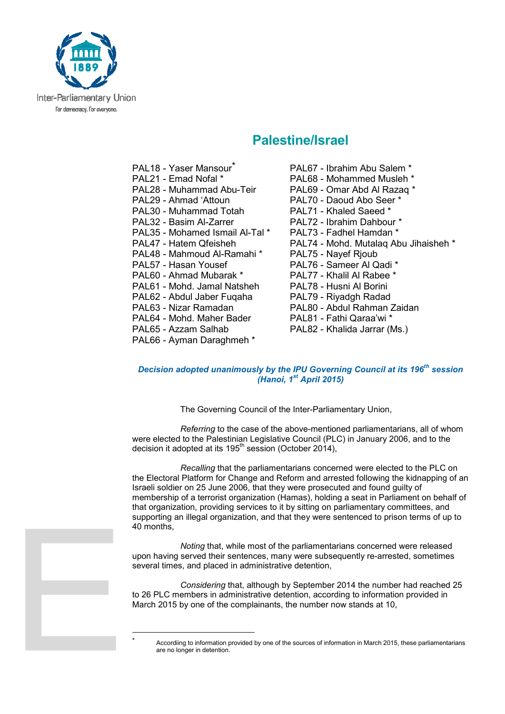

## **Palestine/Israel**

PAL18 - Yaser Mansour<sup>\*</sup> PAL67 - Ibrahim Abu Salem \* PAL21 - Emad Nofal \* PAL68 - Mohammed Musleh \* PAL28 - Muhammad Abu-Teir PAL69 - Omar Abd Al Razaq \* PAL29 - Ahmad 'Attoun PAL70 - Daoud Abo Seer \* PAL30 - Muhammad Totah PAL71 - Khaled Saeed \* PAL32 - Basim Al-Zarrer PAL72 - Ibrahim Dahbour \* PAL35 - Mohamed Ismail Al-Tal \* PAL73 - Fadhel Hamdan \* PAL48 - Mahmoud Al-Ramahi \* PAL75 - Nayef Rjoub PAL57 - Hasan Yousef PAL76 - Sameer Al Qadi \*<br>PAL60 - Ahmad Mubarak \* PAL77 - Khalil Al Rabee \* PAL60 - Ahmad Mubarak \* PAL61 - Mohd. Jamal Natsheh PAL78 - Husni Al Borini PAL62 - Abdul Jaber Fuqaha PAL79 - Riyadgh Radad PAL63 - Nizar Ramadan PAL80 - Abdul Rahman Zaidan PAL64 - Mohd. Maher Bader PAL81 - Fathi Qaraa'wi \* PAL65 - Azzam Salhab PAL82 - Khalida Jarrar (Ms.) PAL66 - Ayman Daraghmeh \*

 $\overline{a}$ \*

- PAL47 Hatem Qfeisheh PAL74 Mohd. Mutalaq Abu Jihaisheh \*
	-

## *Decision adopted unanimously by the IPU Governing Council at its 196th session (Hanoi, 1st April 2015)*

The Governing Council of the Inter-Parliamentary Union,

*Referring* to the case of the above-mentioned parliamentarians, all of whom were elected to the Palestinian Legislative Council (PLC) in January 2006, and to the decision it adopted at its 195<sup>th</sup> session (October 2014),

*Recalling* that the parliamentarians concerned were elected to the PLC on the Electoral Platform for Change and Reform and arrested following the kidnapping of an Israeli soldier on 25 June 2006, that they were prosecuted and found guilty of membership of a terrorist organization (Hamas), holding a seat in Parliament on behalf of that organization, providing services to it by sitting on parliamentary committees, and supporting an illegal organization, and that they were sentenced to prison terms of up to 40 months,

*Noting* that, while most of the parliamentarians concerned were released upon having served their sentences, many were subsequently re-arrested, sometimes several times, and placed in administrative detention,

*Considering* that, although by September 2014 the number had reached 25 to 26 PLC members in administrative detention, according to information provided in March 2015 by one of the complainants, the number now stands at 10,

Accordiing to information provided by one of the sources of information in March 2015, these parliamentarians are no longer in detention.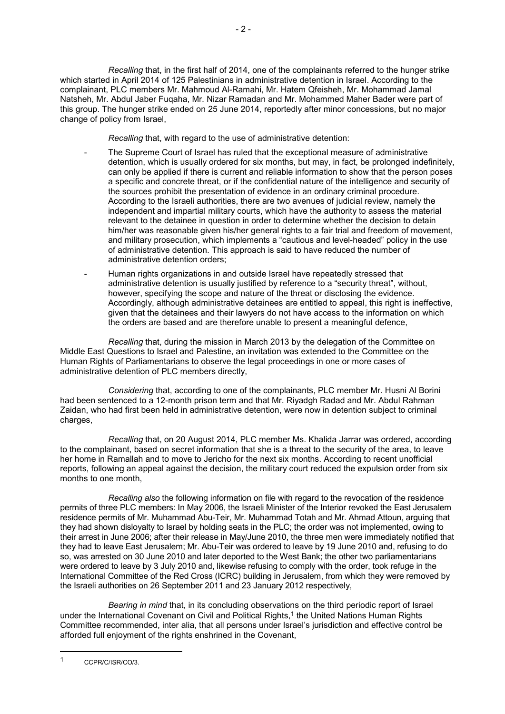*Recalling* that, in the first half of 2014, one of the complainants referred to the hunger strike which started in April 2014 of 125 Palestinians in administrative detention in Israel. According to the complainant, PLC members Mr. Mahmoud Al-Ramahi, Mr. Hatem Qfeisheh, Mr. Mohammad Jamal Natsheh, Mr. Abdul Jaber Fuqaha, Mr. Nizar Ramadan and Mr. Mohammed Maher Bader were part of this group. The hunger strike ended on 25 June 2014, reportedly after minor concessions, but no major change of policy from Israel,

*Recalling* that, with regard to the use of administrative detention:

- The Supreme Court of Israel has ruled that the exceptional measure of administrative detention, which is usually ordered for six months, but may, in fact, be prolonged indefinitely, can only be applied if there is current and reliable information to show that the person poses a specific and concrete threat, or if the confidential nature of the intelligence and security of the sources prohibit the presentation of evidence in an ordinary criminal procedure. According to the Israeli authorities, there are two avenues of judicial review, namely the independent and impartial military courts, which have the authority to assess the material relevant to the detainee in question in order to determine whether the decision to detain him/her was reasonable given his/her general rights to a fair trial and freedom of movement, and military prosecution, which implements a "cautious and level-headed" policy in the use of administrative detention. This approach is said to have reduced the number of administrative detention orders;
- Human rights organizations in and outside Israel have repeatedly stressed that administrative detention is usually justified by reference to a "security threat", without, however, specifying the scope and nature of the threat or disclosing the evidence. Accordingly, although administrative detainees are entitled to appeal, this right is ineffective, given that the detainees and their lawyers do not have access to the information on which the orders are based and are therefore unable to present a meaningful defence,

*Recalling* that, during the mission in March 2013 by the delegation of the Committee on Middle East Questions to Israel and Palestine, an invitation was extended to the Committee on the Human Rights of Parliamentarians to observe the legal proceedings in one or more cases of administrative detention of PLC members directly,

*Considering* that, according to one of the complainants, PLC member Mr. Husni Al Borini had been sentenced to a 12-month prison term and that Mr. Riyadgh Radad and Mr. Abdul Rahman Zaidan, who had first been held in administrative detention, were now in detention subject to criminal charges,

*Recalling* that, on 20 August 2014, PLC member Ms. Khalida Jarrar was ordered, according to the complainant, based on secret information that she is a threat to the security of the area, to leave her home in Ramallah and to move to Jericho for the next six months. According to recent unofficial reports, following an appeal against the decision, the military court reduced the expulsion order from six months to one month,

*Recalling also* the following information on file with regard to the revocation of the residence permits of three PLC members: In May 2006, the Israeli Minister of the Interior revoked the East Jerusalem residence permits of Mr. Muhammad Abu-Teir, Mr. Muhammad Totah and Mr. Ahmad Attoun, arguing that they had shown disloyalty to Israel by holding seats in the PLC; the order was not implemented, owing to their arrest in June 2006; after their release in May/June 2010, the three men were immediately notified that they had to leave East Jerusalem; Mr. Abu-Teir was ordered to leave by 19 June 2010 and, refusing to do so, was arrested on 30 June 2010 and later deported to the West Bank; the other two parliamentarians were ordered to leave by 3 July 2010 and, likewise refusing to comply with the order, took refuge in the International Committee of the Red Cross (ICRC) building in Jerusalem, from which they were removed by the Israeli authorities on 26 September 2011 and 23 January 2012 respectively,

*Bearing in mind* that, in its concluding observations on the third periodic report of Israel under the International Covenant on Civil and Political Rights,<sup>1</sup> the United Nations Human Rights Committee recommended, inter alia, that all persons under Israel's jurisdiction and effective control be afforded full enjoyment of the rights enshrined in the Covenant,

 $\overline{a}$ 

<sup>1</sup> CCPR/C/ISR/CO/3.